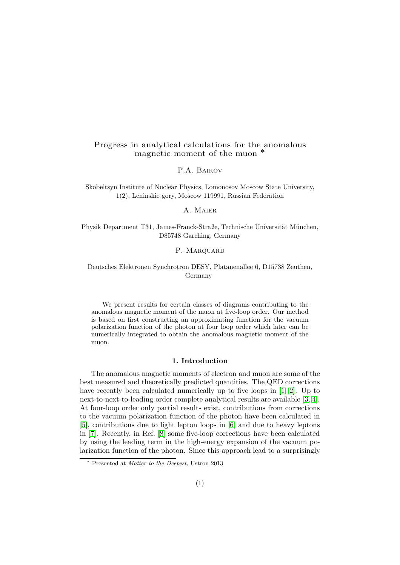# Progress in analytical calculations for the anomalous magnetic moment of the muon <sup>∗</sup>

P.A. Baikov

Skobeltsyn Institute of Nuclear Physics, Lomonosov Moscow State University, 1(2), Leninskie gory, Moscow 119991, Russian Federation

### A. Maier

Physik Department T31, James-Franck-Straße, Technische Universität München, D85748 Garching, Germany

#### P. MARQUARD

## Deutsches Elektronen Synchrotron DESY, Platanenallee 6, D15738 Zeuthen, Germany

We present results for certain classes of diagrams contributing to the anomalous magnetic moment of the muon at five-loop order. Our method is based on first constructing an approximating function for the vacuum polarization function of the photon at four loop order which later can be numerically integrated to obtain the anomalous magnetic moment of the muon.

#### 1. Introduction

The anomalous magnetic moments of electron and muon are some of the best measured and theoretically predicted quantities. The QED corrections have recently been calculated numerically up to five loops in [\[1,](#page-5-0) [2\]](#page-5-1). Up to next-to-next-to-leading order complete analytical results are available [\[3,](#page-5-2) [4\]](#page-5-3). At four-loop order only partial results exist, contributions from corrections to the vacuum polarization function of the photon have been calculated in [\[5\]](#page-5-4), contributions due to light lepton loops in [\[6\]](#page-6-0) and due to heavy leptons in [\[7\]](#page-6-1). Recently, in Ref. [\[8\]](#page-6-2) some five-loop corrections have been calculated by using the leading term in the high-energy expansion of the vacuum polarization function of the photon. Since this approach lead to a surprisingly

<sup>∗</sup> Presented at Matter to the Deepest, Ustron 2013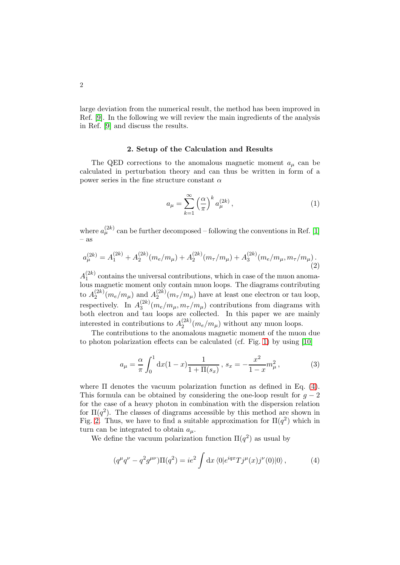large deviation from the numerical result, the method has been improved in Ref. [\[9\]](#page-6-3). In the following we will review the main ingredients of the analysis in Ref. [\[9\]](#page-6-3) and discuss the results.

### 2. Setup of the Calculation and Results

The QED corrections to the anomalous magnetic moment  $a_{\mu}$  can be calculated in perturbation theory and can thus be written in form of a power series in the fine structure constant  $\alpha$ 

$$
a_{\mu} = \sum_{k=1}^{\infty} \left(\frac{\alpha}{\pi}\right)^k a_{\mu}^{(2k)},\tag{1}
$$

where  $a_{\mu}^{(2k)}$  can be further decomposed – following the conventions in Ref. [\[1\]](#page-5-0) – as

$$
a_{\mu}^{(2k)} = A_1^{(2k)} + A_2^{(2k)}(m_e/m_{\mu}) + A_2^{(2k)}(m_{\tau}/m_{\mu}) + A_3^{(2k)}(m_e/m_{\mu}, m_{\tau}/m_{\mu}).
$$
\n(2)

 $A_1^{(2k)}$  $1^{(2k)}$  contains the universal contributions, which in case of the muon anomalous magnetic moment only contain muon loops. The diagrams contributing to  $A_2^{(2k)}$  $a_2^{(2k)}(m_e/m_\mu)$  and  $A_2^{(2k)}$  $\binom{2\kappa}{2}(m_{\tau}/m_{\mu})$  have at least one electron or tau loop, respectively. In  $A_3^{(2k)}$  $\binom{2\kappa}{3}(m_e/m_\mu, m_\tau/m_\mu)$  contributions from diagrams with both electron and tau loops are collected. In this paper we are mainly interested in contributions to  $A_2^{(2k)}$  $2^{(2k)}(m_e/m_\mu)$  without any muon loops.

The contributions to the anomalous magnetic moment of the muon due to photon polarization effects can be calculated (cf. Fig. [1\)](#page-2-0) by using [\[10\]](#page-6-4)

<span id="page-1-1"></span>
$$
a_{\mu} = \frac{\alpha}{\pi} \int_0^1 dx (1 - x) \frac{1}{1 + \Pi(s_x)}, \ s_x = -\frac{x^2}{1 - x} m_{\mu}^2,
$$
 (3)

where  $\Pi$  denotes the vacuum polarization function as defined in Eq. [\(4\)](#page-1-0). This formula can be obtained by considering the one-loop result for  $q - 2$ for the case of a heavy photon in combination with the dispersion relation for  $\Pi(q^2)$ . The classes of diagrams accessible by this method are shown in Fig. [2.](#page-2-1) Thus, we have to find a suitable approximation for  $\Pi(q^2)$  which in turn can be integrated to obtain  $a_{\mu}$ .

We define the vacuum polarization function  $\Pi(q^2)$  as usual by

<span id="page-1-0"></span>
$$
(q^{\mu}q^{\nu} - q^2 g^{\mu\nu})\Pi(q^2) = ie^2 \int \mathrm{d}x \, \langle 0|e^{iqx} T j^{\mu}(x) j^{\nu}(0)|0\rangle \,,\tag{4}
$$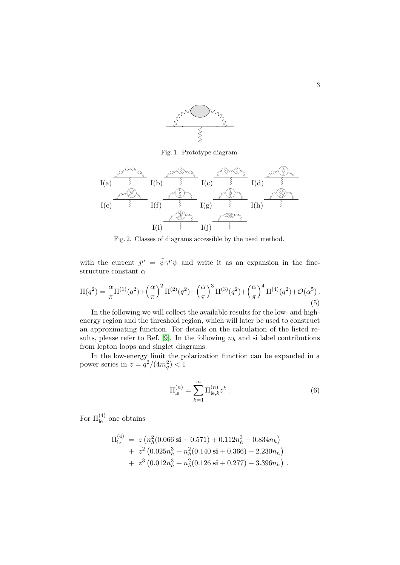

<span id="page-2-0"></span>Fig. 1. Prototype diagram



<span id="page-2-1"></span>Fig. 2. Classes of diagrams accessible by the used method.

with the current  $j^{\mu} = \bar{\psi} \gamma^{\mu} \psi$  and write it as an expansion in the finestructure constant  $\alpha$ 

$$
\Pi(q^2) = \frac{\alpha}{\pi} \Pi^{(1)}(q^2) + \left(\frac{\alpha}{\pi}\right)^2 \Pi^{(2)}(q^2) + \left(\frac{\alpha}{\pi}\right)^3 \Pi^{(3)}(q^2) + \left(\frac{\alpha}{\pi}\right)^4 \Pi^{(4)}(q^2) + \mathcal{O}(\alpha^5)
$$
\n(5)

In the following we will collect the available results for the low- and highenergy region and the threshold region, which will later be used to construct an approximating function. For details on the calculation of the listed re-sults, please refer to Ref. [\[9\]](#page-6-3). In the following  $n_h$  and si label contributions from lepton loops and singlet diagrams.

In the low-energy limit the polarization function can be expanded in a power series in  $z = \frac{q^2}{4m_q^2} < 1$ 

$$
\Pi_{\text{le}}^{(n)} = \sum_{k=1}^{\infty} \Pi_{\text{le},k}^{(n)} z^k . \tag{6}
$$

For  $\Pi_{\text{le}}^{(4)}$  one obtains

$$
\Pi_{\text{le}}^{(4)} = z \left( n_h^2 (0.066 \text{ si} + 0.571) + 0.112 n_h^3 + 0.834 n_h \right) + z^2 \left( 0.025 n_h^3 + n_h^2 (0.140 \text{ si} + 0.366) + 2.230 n_h \right) + z^3 \left( 0.012 n_h^3 + n_h^2 (0.126 \text{ si} + 0.277) + 3.396 n_h \right) .
$$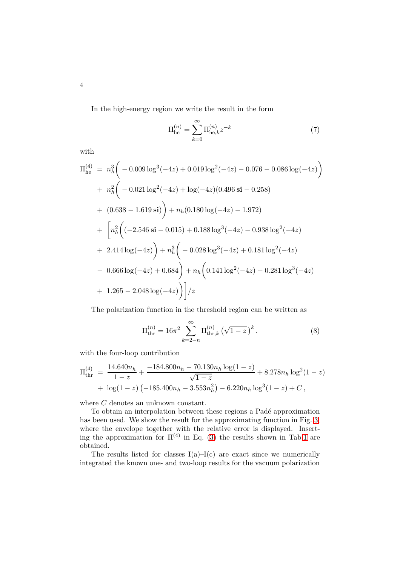In the high-energy region we write the result in the form

$$
\Pi_{\text{he}}^{(n)} = \sum_{k=0}^{\infty} \Pi_{\text{he},k}^{(n)} z^{-k}
$$
 (7)

with

$$
\Pi_{he}^{(4)} = n_h^3 \bigg( -0.009 \log^3(-4z) + 0.019 \log^2(-4z) - 0.076 - 0.086 \log(-4z) \bigg)
$$
  
+  $n_h^2 \bigg( -0.021 \log^2(-4z) + \log(-4z)(0.496 \text{ si} - 0.258)$   
+  $(0.638 - 1.619 \text{ si}) \bigg) + n_h(0.180 \log(-4z) - 1.972)$   
+  $\bigg[ n_h^2 \bigg( (-2.546 \text{ si} - 0.015) + 0.188 \log^3(-4z) - 0.938 \log^2(-4z) \bigg)$   
+  $2.414 \log(-4z) \bigg) + n_h^3 \bigg( -0.028 \log^3(-4z) + 0.181 \log^2(-4z) \bigg)$   
-  $0.666 \log(-4z) + 0.684 \bigg) + n_h \bigg( 0.141 \log^2(-4z) - 0.281 \log^3(-4z) \bigg)$   
+  $1.265 - 2.048 \log(-4z) \bigg) \bigg] / z$ 

The polarization function in the threshold region can be written as

$$
\Pi_{\text{thr}}^{(n)} = 16\pi^2 \sum_{k=2-n}^{\infty} \Pi_{\text{thr},k}^{(n)} \left(\sqrt{1-z}\right)^k.
$$
 (8)

with the four-loop contribution

$$
\Pi_{\text{thr}}^{(4)} = \frac{14.640n_h}{1-z} + \frac{-184.800n_h - 70.130n_h \log(1-z)}{\sqrt{1-z}} + 8.278n_h \log^2(1-z) \n+ \log(1-z) (-185.400n_h - 3.553n_h^2) - 6.220n_h \log^3(1-z) + C,
$$

where  $C$  denotes an unknown constant.

To obtain an interpolation between these regions a Padé approximation has been used. We show the result for the approximating function in Fig. [3,](#page-4-0) where the envelope together with the relative error is displayed. Inserting the approximation for  $\Pi^{(4)}$  in Eq. [\(3\)](#page-1-1) the results shown in Tab[.1](#page-4-1) are obtained.

The results listed for classes  $I(a)$ – $I(c)$  are exact since we numerically integrated the known one- and two-loop results for the vacuum polarization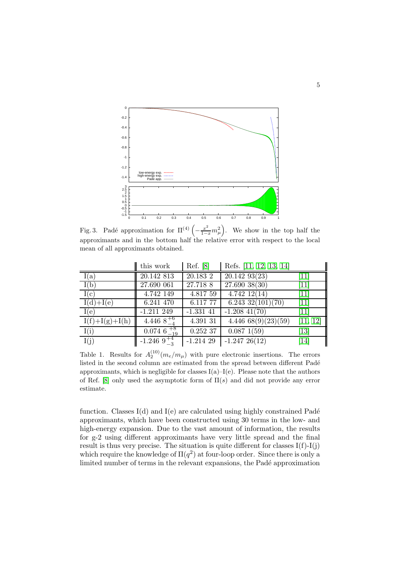

<span id="page-4-0"></span>Fig. 3. Padé approximation for  $\Pi^{(4)}\left(-\frac{x^2}{1-x}m_\mu^2\right)$ . We show in the top half the approximants and in the bottom half the relative error with respect to the local mean of all approximants obtained.

|                  | this work                   | Ref. [8]         | Refs. [11, 12, 13, 14]     |                               |
|------------------|-----------------------------|------------------|----------------------------|-------------------------------|
| I(a)             | 20.142 813                  | 20.183 2         | 20.14293(23)               | $\overline{11}$               |
| I(b)             | $\overline{27.690}$ 061     | $\sqrt{27.718}8$ | $27.690\ 38(30)$           | $\overline{11}$               |
| I(c)             | 4.742 149                   | 4.817 59         | $4.742$ $12(14)$           | $\left[11\right]$             |
| $I(d)+I(e)$      | 6.241 470                   | 6.117 77         | $6.243 \frac{32(101)}{70}$ | $\left\lceil 11\right\rceil$  |
| I(e)             | $-1.211$ 249                | $-1.331$ 41      | $-1.208$ 41(70)            | $\left[11\right]$             |
| $I(f)+I(g)+I(h)$ | 4.446 $8^{+6}$              | 4.391 31         | 4.446668(9)(23)(59)        | [11, 12]                      |
| I(i)             | $0.074 \; 6 \; ^{+8}_{-19}$ | 0.252 37         | 0.0871(59)                 | $\left\lceil 13 \right\rceil$ |
| I(j)             | $-1.2469^{+4}_{-3}$         | $-1.214$ 29      | $-1.24726(12)$             | $\left\lceil 14 \right\rceil$ |

<span id="page-4-1"></span>Table 1. Results for  $A_2^{(10)}(m_e/m_\mu)$  with pure electronic insertions. The errors listed in the second column are estimated from the spread between different Padé approximants, which is negligible for classes  $I(a)-I(e)$ . Please note that the authors of Ref. [\[8\]](#page-6-2) only used the asymptotic form of  $\Pi(s)$  and did not provide any error estimate.

function. Classes  $I(d)$  and  $I(e)$  are calculated using highly constrained Padé approximants, which have been constructed using 30 terms in the low- and high-energy expansion. Due to the vast amount of information, the results for g-2 using different approximants have very little spread and the final result is thus very precise. The situation is quite different for classes  $I(f)-I(j)$ which require the knowledge of  $\Pi(q^2)$  at four-loop order. Since there is only a limited number of terms in the relevant expansions, the Padé approximation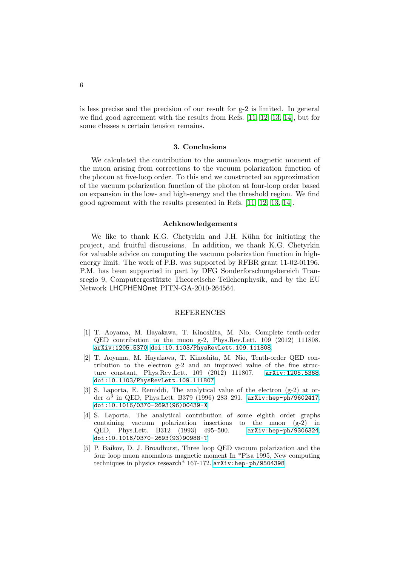is less precise and the precision of our result for g-2 is limited. In general we find good agreement with the results from Refs. [\[11,](#page-6-5) [12,](#page-6-6) [13,](#page-6-7) [14\]](#page-6-8), but for some classes a certain tension remains.

#### 3. Conclusions

We calculated the contribution to the anomalous magnetic moment of the muon arising from corrections to the vacuum polarization function of the photon at five-loop order. To this end we constructed an approximation of the vacuum polarization function of the photon at four-loop order based on expansion in the low- and high-energy and the threshold region. We find good agreement with the results presented in Refs. [\[11,](#page-6-5) [12,](#page-6-6) [13,](#page-6-7) [14\]](#page-6-8).

#### Achknowledgements

We like to thank K.G. Chetyrkin and J.H. Kühn for initiating the project, and fruitful discussions. In addition, we thank K.G. Chetyrkin for valuable advice on computing the vacuum polarization function in highenergy limit. The work of P.B. was supported by RFBR grant 11-02-01196. P.M. has been supported in part by DFG Sonderforschungsbereich Transregio 9, Computergestützte Theoretische Teilchenphysik, and by the EU Network LHCPHENOnet PITN-GA-2010-264564.

#### REFERENCES

- <span id="page-5-0"></span>[1] T. Aoyama, M. Hayakawa, T. Kinoshita, M. Nio, Complete tenth-order QED contribution to the muon g-2, Phys.Rev.Lett. 109 (2012) 111808. [arXiv:1205.5370](http://arxiv.org/abs/1205.5370), [doi:10.1103/PhysRevLett.109.111808](http://dx.doi.org/10.1103/PhysRevLett.109.111808).
- <span id="page-5-1"></span>[2] T. Aoyama, M. Hayakawa, T. Kinoshita, M. Nio, Tenth-order QED contribution to the electron g-2 and an improved value of the fine structure constant, Phys.Rev.Lett. 109 (2012) 111807. [arXiv:1205.5368](http://arxiv.org/abs/1205.5368), [doi:10.1103/PhysRevLett.109.111807](http://dx.doi.org/10.1103/PhysRevLett.109.111807).
- <span id="page-5-2"></span>[3] S. Laporta, E. Remiddi, The analytical value of the electron (g-2) at order  $\alpha^3$  in QED, Phys.Lett. B379 (1996) 283-291. [arXiv:hep-ph/9602417](http://arxiv.org/abs/hep-ph/9602417), [doi:10.1016/0370-2693\(96\)00439-X](http://dx.doi.org/10.1016/0370-2693(96)00439-X).
- <span id="page-5-3"></span>[4] S. Laporta, The analytical contribution of some eighth order graphs containing vacuum polarization insertions to the muon (g-2) in QED, Phys.Lett. B312 (1993) 495–500. [arXiv:hep-ph/9306324](http://arxiv.org/abs/hep-ph/9306324), [doi:10.1016/0370-2693\(93\)90988-T](http://dx.doi.org/10.1016/0370-2693(93)90988-T).
- <span id="page-5-4"></span>[5] P. Baikov, D. J. Broadhurst, Three loop QED vacuum polarization and the four loop muon anomalous magnetic moment In \*Pisa 1995, New computing techniques in physics research\* 167-172. [arXiv:hep-ph/9504398](http://arxiv.org/abs/hep-ph/9504398).